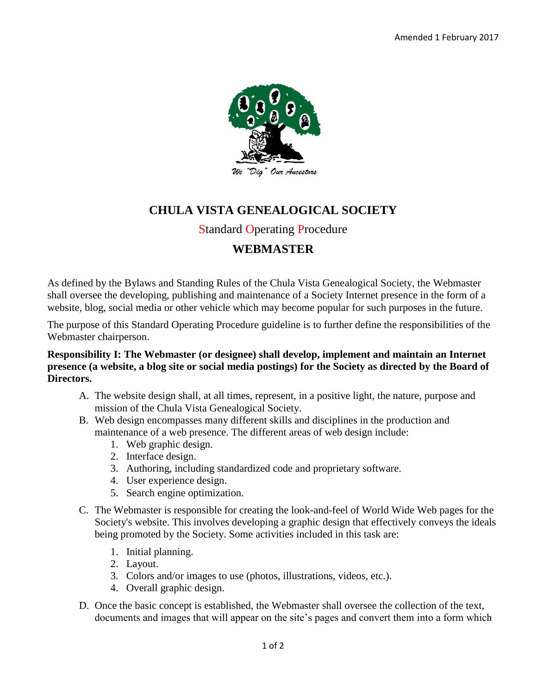

# **CHULA VISTA GENEALOGICAL SOCIETY**

### Standard Operating Procedure

## **WEBMASTER**

As defined by the Bylaws and Standing Rules of the Chula Vista Genealogical Society, the Webmaster shall oversee the developing, publishing and maintenance of a Society Internet presence in the form of a website, blog, social media or other vehicle which may become popular for such purposes in the future.

The purpose of this Standard Operating Procedure guideline is to further define the responsibilities of the Webmaster chairperson.

#### **Responsibility I: The Webmaster (or designee) shall develop, implement and maintain an Internet presence (a website, a blog site or social media postings) for the Society as directed by the Board of Directors.**

- A. The website design shall, at all times, represent, in a positive light, the nature, purpose and mission of the Chula Vista Genealogical Society.
- B. Web design encompasses many different skills and disciplines in the production and maintenance of a web presence. The different areas of web design include:
	- 1. Web graphic design.
	- 2. Interface design.
	- 3. Authoring, including standardized code and proprietary software.
	- 4. User experience design.
	- 5. Search engine optimization.
- C. The Webmaster is responsible for creating the look-and-feel of World Wide Web pages for the Society's website. This involves developing a graphic design that effectively conveys the ideals being promoted by the Society. Some activities included in this task are:
	- 1. Initial planning.
	- 2. Layout.
	- 3. Colors and/or images to use (photos, illustrations, videos, etc.).
	- 4. Overall graphic design.
- D. Once the basic concept is established, the Webmaster shall oversee the collection of the text, documents and images that will appear on the site's pages and convert them into a form which